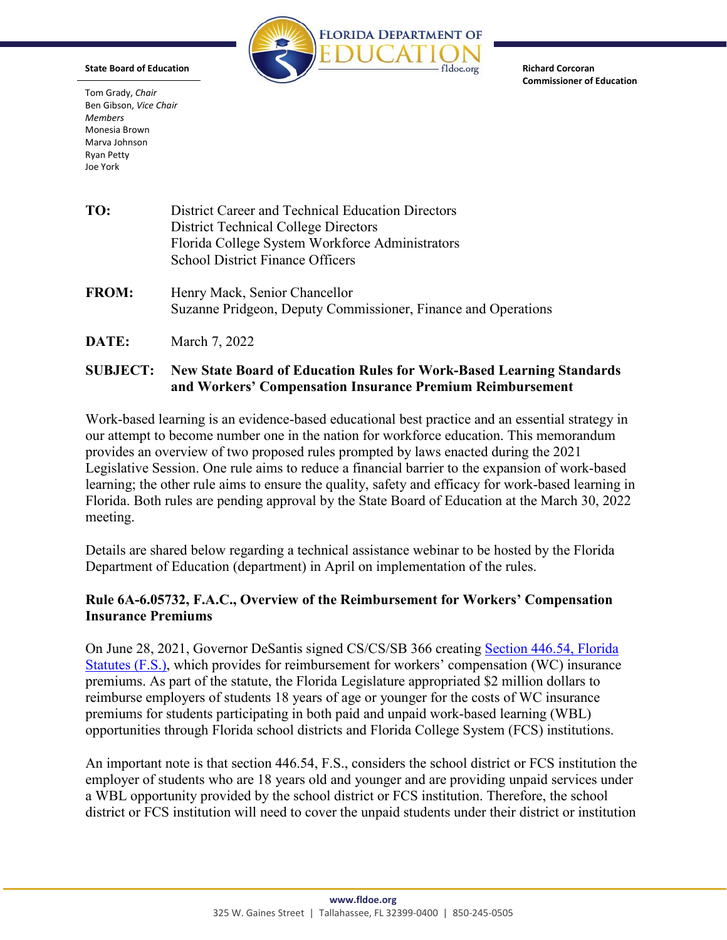

**Richard Corcoran**

**Commissioner of Education**

**State Board of Education**

Tom Grady, *Chair* Ben Gibson, *Vice Chair Members* Monesia Brown Marva Johnson Ryan Petty Joe York

| TO:          | District Career and Technical Education Directors<br><b>District Technical College Directors</b><br>Florida College System Workforce Administrators<br><b>School District Finance Officers</b> |
|--------------|------------------------------------------------------------------------------------------------------------------------------------------------------------------------------------------------|
| <b>FROM:</b> | Henry Mack, Senior Chancellor<br>Suzanne Pridgeon, Deputy Commissioner, Finance and Operations                                                                                                 |
| DATE:        | March 7, 2022                                                                                                                                                                                  |

## **SUBJECT: New State Board of Education Rules for Work-Based Learning Standards and Workers' Compensation Insurance Premium Reimbursement**

Work-based learning is an evidence-based educational best practice and an essential strategy in our attempt to become number one in the nation for workforce education. This memorandum provides an overview of two proposed rules prompted by laws enacted during the 2021 Legislative Session. One rule aims to reduce a financial barrier to the expansion of work-based learning; the other rule aims to ensure the quality, safety and efficacy for work-based learning in Florida. Both rules are pending approval by the State Board of Education at the March 30, 2022 meeting.

Details are shared below regarding a technical assistance webinar to be hosted by the Florida Department of Education (department) in April on implementation of the rules.

## **Rule 6A-6.05732, F.A.C., Overview of the Reimbursement for Workers' Compensation Insurance Premiums**

On June 28, 2021, Governor DeSantis signed CS/CS/SB 366 creating [Section 446.54, Florida](https://www.flsenate.gov/Laws/Statutes/2021/0446.54)  [Statutes \(F.S.\),](https://www.flsenate.gov/Laws/Statutes/2021/0446.54) which provides for reimbursement for workers' compensation (WC) insurance premiums. As part of the statute, the Florida Legislature appropriated \$2 million dollars to reimburse employers of students 18 years of age or younger for the costs of WC insurance premiums for students participating in both paid and unpaid work-based learning (WBL) opportunities through Florida school districts and Florida College System (FCS) institutions.

An important note is that section 446.54, F.S., considers the school district or FCS institution the employer of students who are 18 years old and younger and are providing unpaid services under a WBL opportunity provided by the school district or FCS institution. Therefore, the school district or FCS institution will need to cover the unpaid students under their district or institution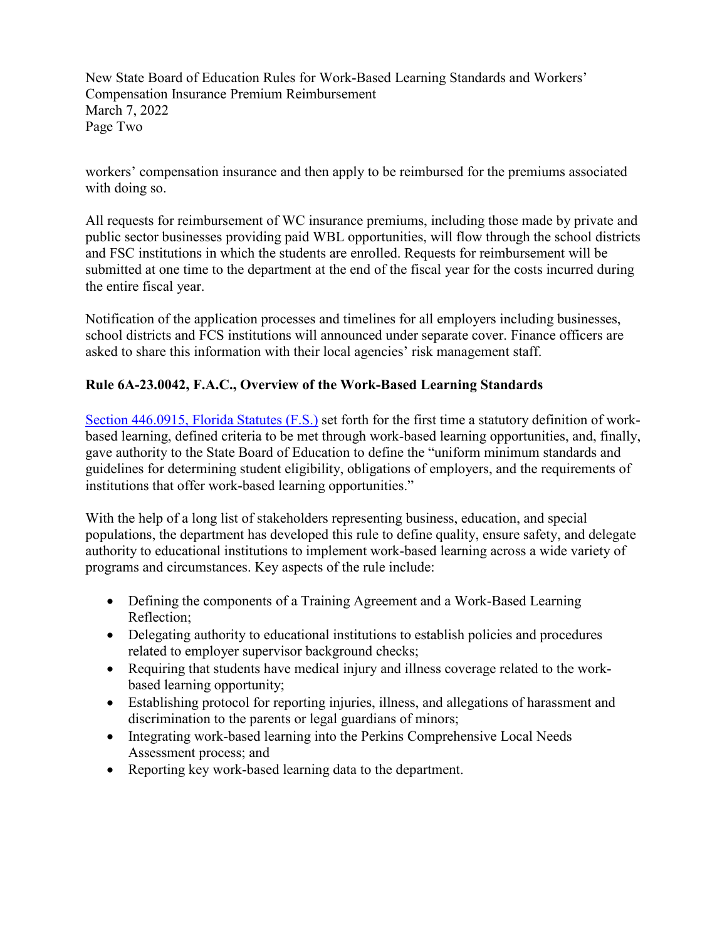New State Board of Education Rules for Work-Based Learning Standards and Workers' Compensation Insurance Premium Reimbursement March 7, 2022 Page Two

workers' compensation insurance and then apply to be reimbursed for the premiums associated with doing so.

All requests for reimbursement of WC insurance premiums, including those made by private and public sector businesses providing paid WBL opportunities, will flow through the school districts and FSC institutions in which the students are enrolled. Requests for reimbursement will be submitted at one time to the department at the end of the fiscal year for the costs incurred during the entire fiscal year.

Notification of the application processes and timelines for all employers including businesses, school districts and FCS institutions will announced under separate cover. Finance officers are asked to share this information with their local agencies' risk management staff.

# **Rule 6A-23.0042, F.A.C., Overview of the Work-Based Learning Standards**

[Section 446.0915, Florida Statutes \(F.S.\)](http://www.leg.state.fl.us/statutes/index.cfm?App_mode=Display_Statute&Search_String=&URL=0400-0499/0446/Sections/0446.0915.html) set forth for the first time a statutory definition of workbased learning, defined criteria to be met through work-based learning opportunities, and, finally, gave authority to the State Board of Education to define the "uniform minimum standards and guidelines for determining student eligibility, obligations of employers, and the requirements of institutions that offer work-based learning opportunities."

With the help of a long list of stakeholders representing business, education, and special populations, the department has developed this rule to define quality, ensure safety, and delegate authority to educational institutions to implement work-based learning across a wide variety of programs and circumstances. Key aspects of the rule include:

- Defining the components of a Training Agreement and a Work-Based Learning Reflection;
- Delegating authority to educational institutions to establish policies and procedures related to employer supervisor background checks;
- Requiring that students have medical injury and illness coverage related to the workbased learning opportunity;
- Establishing protocol for reporting injuries, illness, and allegations of harassment and discrimination to the parents or legal guardians of minors;
- Integrating work-based learning into the Perkins Comprehensive Local Needs Assessment process; and
- Reporting key work-based learning data to the department.